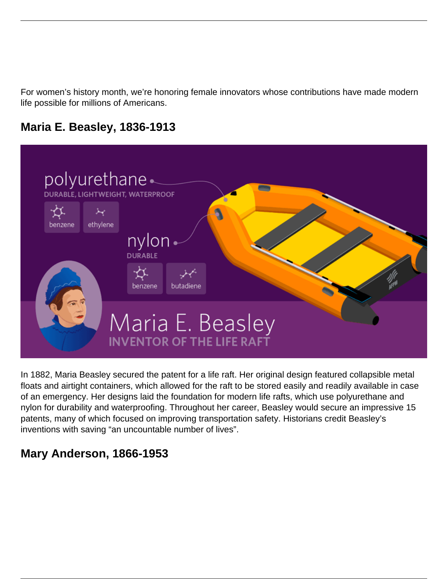For women's history month, we're honoring female innovators whose contributions have made modern life possible for millions of Americans.

### **Maria E. Beasley, 1836-1913**



In 1882, Maria Beasley secured the patent for a life raft. Her original design featured collapsible metal floats and airtight containers, which allowed for the raft to be stored easily and readily available in case of an emergency. Her designs laid the foundation for modern life rafts, which use polyurethane and nylon for durability and waterproofing. Throughout her career, Beasley would secure an impressive 15 patents, many of which focused on improving transportation safety. Historians credit Beasley's inventions with saving "an uncountable number of lives".

# **Mary Anderson, 1866-1953**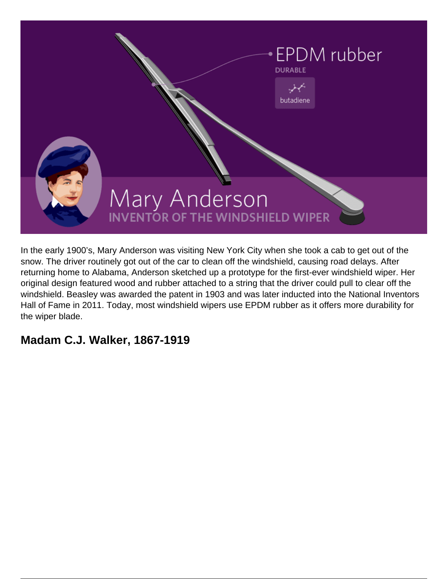

In the early 1900's, Mary Anderson was visiting New York City when she took a cab to get out of the snow. The driver routinely got out of the car to clean off the windshield, causing road delays. After returning home to Alabama, Anderson sketched up a prototype for the first-ever windshield wiper. Her original design featured wood and rubber attached to a string that the driver could pull to clear off the windshield. Beasley was awarded the patent in 1903 and was later inducted into the National Inventors Hall of Fame in 2011. Today, most windshield wipers use EPDM rubber as it offers more durability for the wiper blade.

### **Madam C.J. Walker, 1867-1919**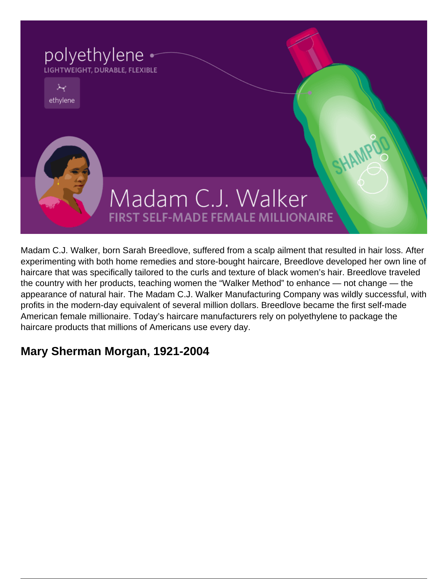

Madam C.J. Walker, born Sarah Breedlove, suffered from a scalp ailment that resulted in hair loss. After experimenting with both home remedies and store-bought haircare, Breedlove developed her own line of haircare that was specifically tailored to the curls and texture of black women's hair. Breedlove traveled the country with her products, teaching women the "Walker Method" to enhance — not change — the appearance of natural hair. The Madam C.J. Walker Manufacturing Company was wildly successful, with profits in the modern-day equivalent of several million dollars. Breedlove became the first self-made American female millionaire. Today's haircare manufacturers rely on polyethylene to package the haircare products that millions of Americans use every day.

# **Mary Sherman Morgan, 1921-2004**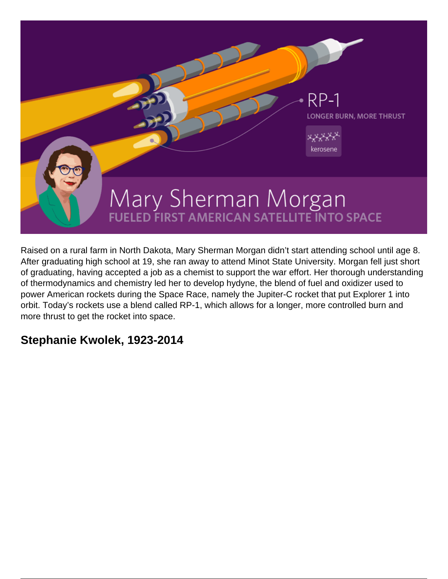

Raised on a rural farm in North Dakota, Mary Sherman Morgan didn't start attending school until age 8. After graduating high school at 19, she ran away to attend Minot State University. Morgan fell just short of graduating, having accepted a job as a chemist to support the war effort. Her thorough understanding of thermodynamics and chemistry led her to develop hydyne, the blend of fuel and oxidizer used to power American rockets during the Space Race, namely the Jupiter-C rocket that put Explorer 1 into orbit. Today's rockets use a blend called RP-1, which allows for a longer, more controlled burn and more thrust to get the rocket into space.

#### **Stephanie Kwolek, 1923-2014**